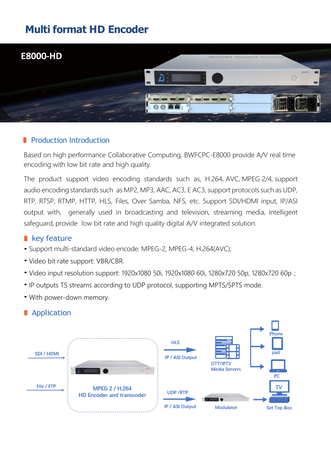## **Multi format HD Encoder**



#### **Production Introduction**

Based on high performance Collaborative Computing, BWFCPC-E8000 provide A/V real time encoding with low bit rate and high quality.

The product support video encoding standards such as, H.264, AVC, MPEG 2/4, support audio encoding standards such as MP2, MP3, AAC, AC3, E AC3, support protocols such as UDP, RTP, RTSP, RTMP, HTTP, HLS, Files, Over Samba, NFS, etc. Support SDI/HDMI input, IP/ASI output with, generally used in broadcasting and television, streaming media, intelligent safeguard, provide low bit rate and high quality digital A/V integrated solution.

#### **key feature**

- Support multi-standard video encode: MPEG-2, MPEG-4, H.264(AVC);
- Video bit rate support: VBR/CBR.
- Video input resolution support: 1920x1080 50i, 1920x1080 60i, 1280x720 50p, 1280x720 60p;
- IP outputs TS streams according to UDP protocol, supporting MPTS/SPTS mode.
- With power-down memory.

### **Application**